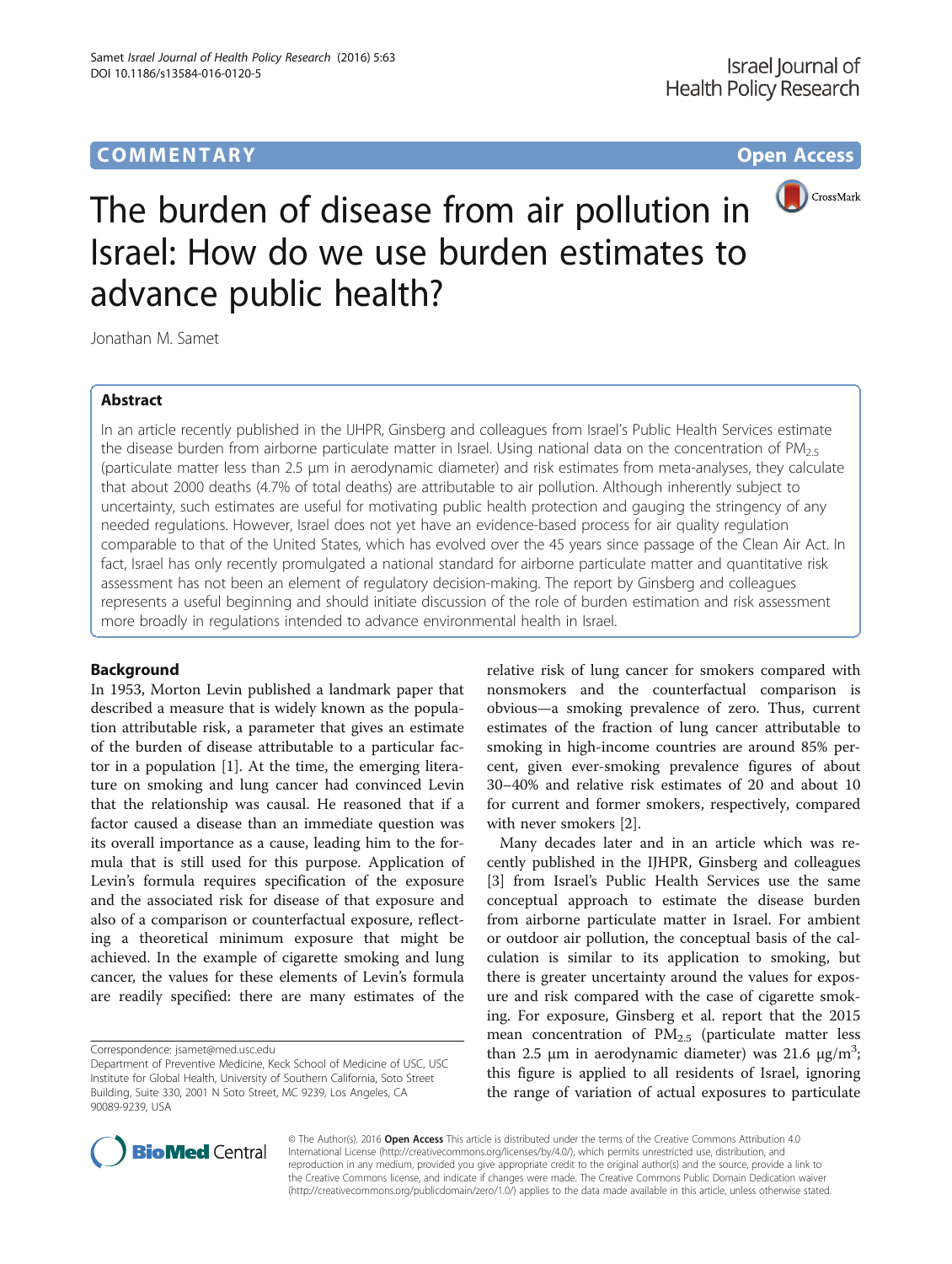# **COMMENTARY COMMENTARY Open Access**



The burden of disease from air pollution in Israel: How do we use burden estimates to advance public health?

Jonathan M. Samet

# Abstract

In an article recently published in the IJHPR, Ginsberg and colleagues from Israel's Public Health Services estimate the disease burden from airborne particulate matter in Israel. Using national data on the concentration of  $PM_{2.5}$ (particulate matter less than 2.5 μm in aerodynamic diameter) and risk estimates from meta-analyses, they calculate that about 2000 deaths (4.7% of total deaths) are attributable to air pollution. Although inherently subject to uncertainty, such estimates are useful for motivating public health protection and gauging the stringency of any needed regulations. However, Israel does not yet have an evidence-based process for air quality regulation comparable to that of the United States, which has evolved over the 45 years since passage of the Clean Air Act. In fact, Israel has only recently promulgated a national standard for airborne particulate matter and quantitative risk assessment has not been an element of regulatory decision-making. The report by Ginsberg and colleagues represents a useful beginning and should initiate discussion of the role of burden estimation and risk assessment more broadly in regulations intended to advance environmental health in Israel.

## Background

In 1953, Morton Levin published a landmark paper that described a measure that is widely known as the population attributable risk, a parameter that gives an estimate of the burden of disease attributable to a particular factor in a population [[1](#page-2-0)]. At the time, the emerging literature on smoking and lung cancer had convinced Levin that the relationship was causal. He reasoned that if a factor caused a disease than an immediate question was its overall importance as a cause, leading him to the formula that is still used for this purpose. Application of Levin's formula requires specification of the exposure and the associated risk for disease of that exposure and also of a comparison or counterfactual exposure, reflecting a theoretical minimum exposure that might be achieved. In the example of cigarette smoking and lung cancer, the values for these elements of Levin's formula are readily specified: there are many estimates of the

Correspondence: [jsamet@med.usc.edu](mailto:jsamet@med.usc.edu)

relative risk of lung cancer for smokers compared with nonsmokers and the counterfactual comparison is obvious—a smoking prevalence of zero. Thus, current estimates of the fraction of lung cancer attributable to smoking in high-income countries are around 85% percent, given ever-smoking prevalence figures of about 30–40% and relative risk estimates of 20 and about 10 for current and former smokers, respectively, compared with never smokers [[2\]](#page-2-0).

Many decades later and in an article which was recently published in the IJHPR, Ginsberg and colleagues [[3\]](#page-2-0) from Israel's Public Health Services use the same conceptual approach to estimate the disease burden from airborne particulate matter in Israel. For ambient or outdoor air pollution, the conceptual basis of the calculation is similar to its application to smoking, but there is greater uncertainty around the values for exposure and risk compared with the case of cigarette smoking. For exposure, Ginsberg et al. report that the 2015 mean concentration of  $PM_{2.5}$  (particulate matter less than 2.5 μm in aerodynamic diameter) was 21.6  $\mu$ g/m<sup>3</sup>; this figure is applied to all residents of Israel, ignoring the range of variation of actual exposures to particulate



© The Author(s). 2016 Open Access This article is distributed under the terms of the Creative Commons Attribution 4.0 International License [\(http://creativecommons.org/licenses/by/4.0/](http://creativecommons.org/licenses/by/4.0/)), which permits unrestricted use, distribution, and reproduction in any medium, provided you give appropriate credit to the original author(s) and the source, provide a link to the Creative Commons license, and indicate if changes were made. The Creative Commons Public Domain Dedication waiver [\(http://creativecommons.org/publicdomain/zero/1.0/](http://creativecommons.org/publicdomain/zero/1.0/)) applies to the data made available in this article, unless otherwise stated.

Department of Preventive Medicine, Keck School of Medicine of USC, USC Institute for Global Health, University of Southern California, Soto Street Building, Suite 330, 2001 N Soto Street, MC 9239, Los Angeles, CA 90089-9239, USA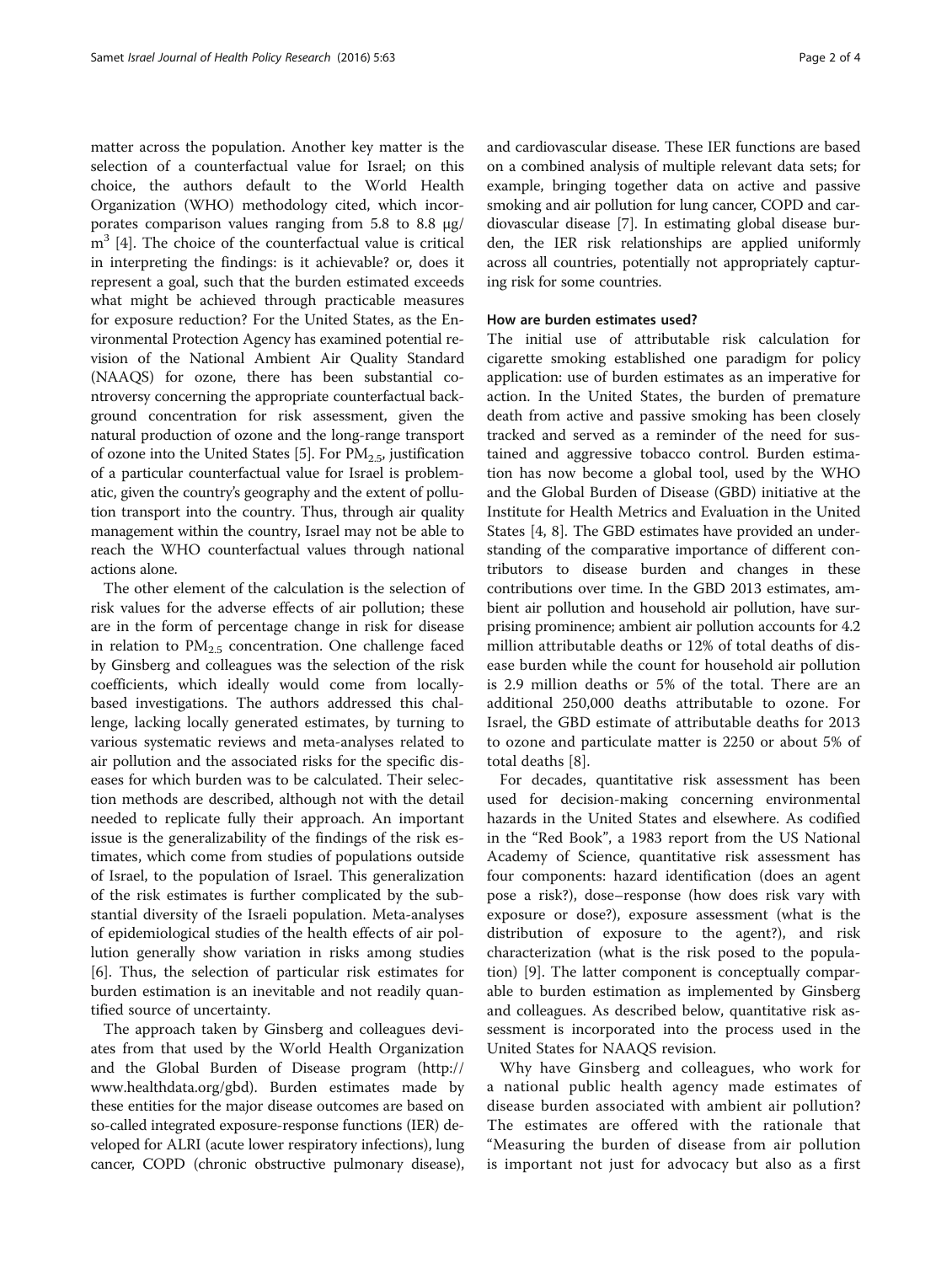matter across the population. Another key matter is the selection of a counterfactual value for Israel; on this choice, the authors default to the World Health Organization (WHO) methodology cited, which incorporates comparison values ranging from 5.8 to 8.8 μg/  $m<sup>3</sup>$  [\[4](#page-2-0)]. The choice of the counterfactual value is critical in interpreting the findings: is it achievable? or, does it represent a goal, such that the burden estimated exceeds what might be achieved through practicable measures for exposure reduction? For the United States, as the Environmental Protection Agency has examined potential revision of the National Ambient Air Quality Standard (NAAQS) for ozone, there has been substantial controversy concerning the appropriate counterfactual background concentration for risk assessment, given the natural production of ozone and the long-range transport of ozone into the United States [\[5\]](#page-2-0). For  $PM_{2.5}$ , justification of a particular counterfactual value for Israel is problematic, given the country's geography and the extent of pollution transport into the country. Thus, through air quality management within the country, Israel may not be able to reach the WHO counterfactual values through national actions alone.

The other element of the calculation is the selection of risk values for the adverse effects of air pollution; these are in the form of percentage change in risk for disease in relation to  $PM_{2.5}$  concentration. One challenge faced by Ginsberg and colleagues was the selection of the risk coefficients, which ideally would come from locallybased investigations. The authors addressed this challenge, lacking locally generated estimates, by turning to various systematic reviews and meta-analyses related to air pollution and the associated risks for the specific diseases for which burden was to be calculated. Their selection methods are described, although not with the detail needed to replicate fully their approach. An important issue is the generalizability of the findings of the risk estimates, which come from studies of populations outside of Israel, to the population of Israel. This generalization of the risk estimates is further complicated by the substantial diversity of the Israeli population. Meta-analyses of epidemiological studies of the health effects of air pollution generally show variation in risks among studies [[6\]](#page-2-0). Thus, the selection of particular risk estimates for burden estimation is an inevitable and not readily quantified source of uncertainty.

The approach taken by Ginsberg and colleagues deviates from that used by the World Health Organization and the Global Burden of Disease program [\(http://](http://www.healthdata.org/gbd) [www.healthdata.org/gbd\)](http://www.healthdata.org/gbd). Burden estimates made by these entities for the major disease outcomes are based on so-called integrated exposure-response functions (IER) developed for ALRI (acute lower respiratory infections), lung cancer, COPD (chronic obstructive pulmonary disease), and cardiovascular disease. These IER functions are based on a combined analysis of multiple relevant data sets; for example, bringing together data on active and passive smoking and air pollution for lung cancer, COPD and cardiovascular disease [\[7\]](#page-2-0). In estimating global disease burden, the IER risk relationships are applied uniformly across all countries, potentially not appropriately capturing risk for some countries.

## How are burden estimates used?

The initial use of attributable risk calculation for cigarette smoking established one paradigm for policy application: use of burden estimates as an imperative for action. In the United States, the burden of premature death from active and passive smoking has been closely tracked and served as a reminder of the need for sustained and aggressive tobacco control. Burden estimation has now become a global tool, used by the WHO and the Global Burden of Disease (GBD) initiative at the Institute for Health Metrics and Evaluation in the United States [[4, 8](#page-2-0)]. The GBD estimates have provided an understanding of the comparative importance of different contributors to disease burden and changes in these contributions over time. In the GBD 2013 estimates, ambient air pollution and household air pollution, have surprising prominence; ambient air pollution accounts for 4.2 million attributable deaths or 12% of total deaths of disease burden while the count for household air pollution is 2.9 million deaths or 5% of the total. There are an additional 250,000 deaths attributable to ozone. For Israel, the GBD estimate of attributable deaths for 2013 to ozone and particulate matter is 2250 or about 5% of total deaths [[8\]](#page-2-0).

For decades, quantitative risk assessment has been used for decision-making concerning environmental hazards in the United States and elsewhere. As codified in the "Red Book", a 1983 report from the US National Academy of Science, quantitative risk assessment has four components: hazard identification (does an agent pose a risk?), dose–response (how does risk vary with exposure or dose?), exposure assessment (what is the distribution of exposure to the agent?), and risk characterization (what is the risk posed to the population) [[9\]](#page-2-0). The latter component is conceptually comparable to burden estimation as implemented by Ginsberg and colleagues. As described below, quantitative risk assessment is incorporated into the process used in the United States for NAAQS revision.

Why have Ginsberg and colleagues, who work for a national public health agency made estimates of disease burden associated with ambient air pollution? The estimates are offered with the rationale that "Measuring the burden of disease from air pollution is important not just for advocacy but also as a first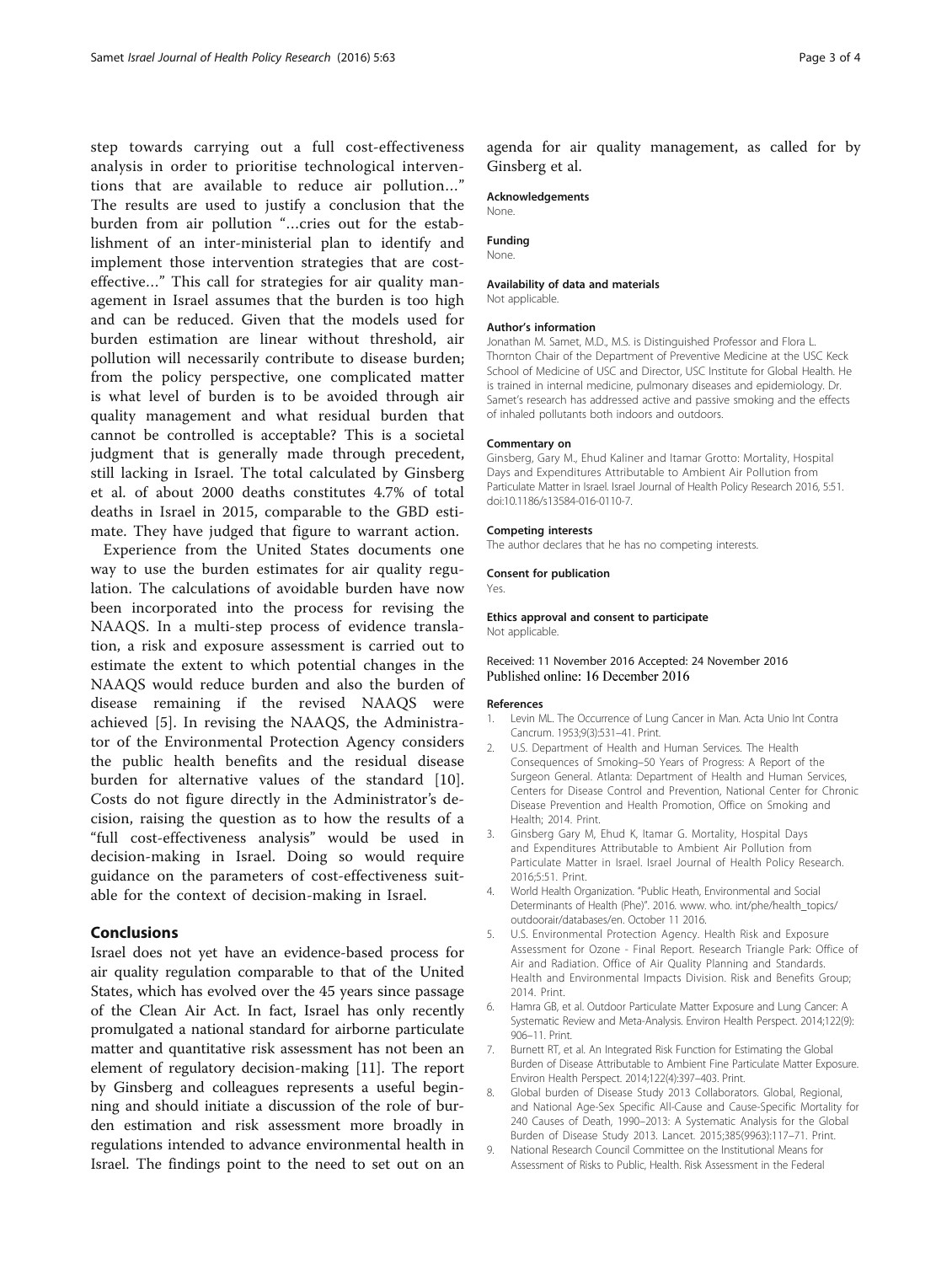<span id="page-2-0"></span>step towards carrying out a full cost-effectiveness analysis in order to prioritise technological interventions that are available to reduce air pollution…" The results are used to justify a conclusion that the burden from air pollution "…cries out for the establishment of an inter-ministerial plan to identify and implement those intervention strategies that are costeffective…" This call for strategies for air quality management in Israel assumes that the burden is too high and can be reduced. Given that the models used for burden estimation are linear without threshold, air pollution will necessarily contribute to disease burden; from the policy perspective, one complicated matter is what level of burden is to be avoided through air quality management and what residual burden that cannot be controlled is acceptable? This is a societal judgment that is generally made through precedent, still lacking in Israel. The total calculated by Ginsberg et al. of about 2000 deaths constitutes 4.7% of total deaths in Israel in 2015, comparable to the GBD estimate. They have judged that figure to warrant action.

Experience from the United States documents one way to use the burden estimates for air quality regulation. The calculations of avoidable burden have now been incorporated into the process for revising the NAAQS. In a multi-step process of evidence translation, a risk and exposure assessment is carried out to estimate the extent to which potential changes in the NAAQS would reduce burden and also the burden of disease remaining if the revised NAAQS were achieved [5]. In revising the NAAQS, the Administrator of the Environmental Protection Agency considers the public health benefits and the residual disease burden for alternative values of the standard [\[10](#page-3-0)]. Costs do not figure directly in the Administrator's decision, raising the question as to how the results of a "full cost-effectiveness analysis" would be used in decision-making in Israel. Doing so would require guidance on the parameters of cost-effectiveness suitable for the context of decision-making in Israel.

## Conclusions

Israel does not yet have an evidence-based process for air quality regulation comparable to that of the United States, which has evolved over the 45 years since passage of the Clean Air Act. In fact, Israel has only recently promulgated a national standard for airborne particulate matter and quantitative risk assessment has not been an element of regulatory decision-making [[11\]](#page-3-0). The report by Ginsberg and colleagues represents a useful beginning and should initiate a discussion of the role of burden estimation and risk assessment more broadly in regulations intended to advance environmental health in Israel. The findings point to the need to set out on an agenda for air quality management, as called for by Ginsberg et al.

## Acknowledgements

None.

#### Funding None.

### Availability of data and materials

Not applicable.

## Author's information

Jonathan M. Samet, M.D., M.S. is Distinguished Professor and Flora L. Thornton Chair of the Department of Preventive Medicine at the USC Keck School of Medicine of USC and Director, USC Institute for Global Health. He is trained in internal medicine, pulmonary diseases and epidemiology. Dr. Samet's research has addressed active and passive smoking and the effects of inhaled pollutants both indoors and outdoors.

#### Commentary on

Ginsberg, Gary M., Ehud Kaliner and Itamar Grotto: Mortality, Hospital Days and Expenditures Attributable to Ambient Air Pollution from Particulate Matter in Israel. Israel Journal of Health Policy Research 2016, 5:51. doi[:10.1186/s13584-016-0110-7](http://dx.doi.org/10.1186/s13584-016-0110-7).

### Competing interests

The author declares that he has no competing interests.

#### Consent for publication

Yes.

### Ethics approval and consent to participate Not applicable.

## Received: 11 November 2016 Accepted: 24 November 2016 Published online: 16 December 2016

### References

- 1. Levin ML. The Occurrence of Lung Cancer in Man. Acta Unio Int Contra Cancrum. 1953;9(3):531–41. Print.
- 2. U.S. Department of Health and Human Services. The Health Consequences of Smoking–50 Years of Progress: A Report of the Surgeon General. Atlanta: Department of Health and Human Services, Centers for Disease Control and Prevention, National Center for Chronic Disease Prevention and Health Promotion, Office on Smoking and Health; 2014. Print.
- 3. Ginsberg Gary M, Ehud K, Itamar G. Mortality, Hospital Days and Expenditures Attributable to Ambient Air Pollution from Particulate Matter in Israel. Israel Journal of Health Policy Research. 2016;5:51. Print.
- 4. World Health Organization. "Public Heath, Environmental and Social Determinants of Health (Phe)". 2016. www. who. int/phe/health\_topics/ outdoorair/databases/en. October 11 2016.
- 5. U.S. Environmental Protection Agency. Health Risk and Exposure Assessment for Ozone - Final Report. Research Triangle Park: Office of Air and Radiation. Office of Air Quality Planning and Standards. Health and Environmental Impacts Division. Risk and Benefits Group; 2014. Print.
- 6. Hamra GB, et al. Outdoor Particulate Matter Exposure and Lung Cancer: A Systematic Review and Meta-Analysis. Environ Health Perspect. 2014;122(9): 906–11. Print.
- 7. Burnett RT, et al. An Integrated Risk Function for Estimating the Global Burden of Disease Attributable to Ambient Fine Particulate Matter Exposure. Environ Health Perspect. 2014;122(4):397–403. Print.
- 8. Global burden of Disease Study 2013 Collaborators. Global, Regional, and National Age-Sex Specific All-Cause and Cause-Specific Mortality for 240 Causes of Death, 1990–2013: A Systematic Analysis for the Global Burden of Disease Study 2013. Lancet. 2015;385(9963):117–71. Print.
- 9. National Research Council Committee on the Institutional Means for Assessment of Risks to Public, Health. Risk Assessment in the Federal